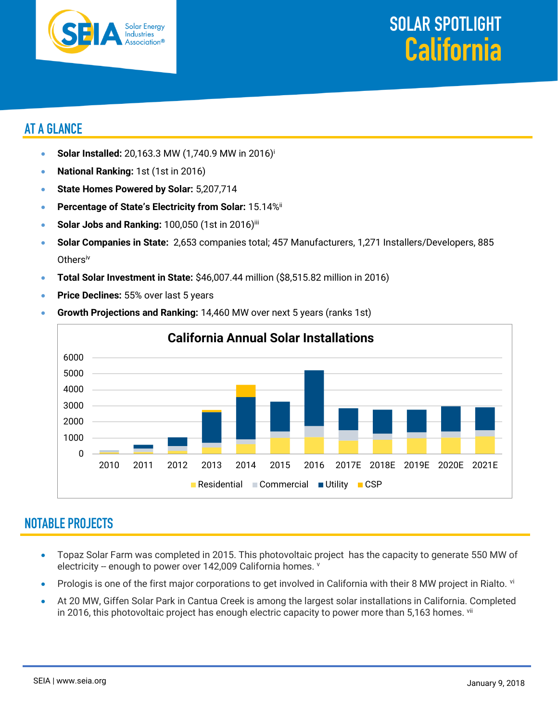



## **AT A GLANCE**

- **Solar Installed:** 20,163.3 MW (1,740.9 MW in 2016)<sup>i</sup>
- **National Ranking:** 1st (1st in 2016)
- **State Homes Powered by Solar:** 5,207,714
- **Percentage of State's Electricity from Solar:** 15.14%ii
- Solar Jobs and Ranking: 100,050 (1st in 2016)<sup>iii</sup>
- **Solar Companies in State:** 2,653 companies total; 457 Manufacturers, 1,271 Installers/Developers, 885 Othersiv
- **Total Solar Investment in State:** \$46,007.44 million (\$8,515.82 million in 2016)
- **Price Declines:** 55% over last 5 years



• **Growth Projections and Ranking:** 14,460 MW over next 5 years (ranks 1st)

## **NOTABLE PROJECTS**

- Topaz Solar Farm was completed in 2015. This photovoltaic project has the capacity to generate 550 MW of electricity -- enough to power over 142,009 California homes. V
- Prologis is one of the first major corporations to get involved in California with their 8 MW project in Rialto. vi
- At 20 MW, Giffen Solar Park in Cantua Creek is among the largest solar installations in California. Completed in 2016, this photovoltaic project has enough electric capacity to power more than 5,163 homes. Vii